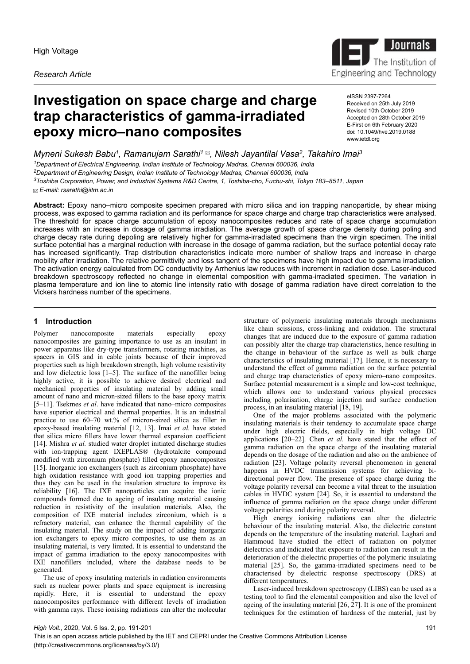*Research Article*



eISSN 2397-7264 Received on 25th July 2019 Revised 10th October 2019 Accepted on 28th October 2019 E-First on 6th February 2020 doi: 10.1049/hve.2019.0188

Journals<br>The Institution

Engineering and Technology

The Institution of

www.ietdl.org

*Myneni Sukesh Babu<sup>1</sup> , Ramanujam Sarathi<sup>1</sup> , Nilesh Jayantilal Vasa<sup>2</sup> , Takahiro Imai<sup>3</sup> Department of Electrical Engineering, Indian Institute of Technology Madras, Chennai 600036, India Department of Engineering Design, Indian Institute of Technology Madras, Chennai 600036, India Toshiba Corporation, Power, and Industrial Systems R&D Centre, 1, Toshiba-cho, Fuchu-shi, Tokyo 183–8511, Japan*

 *E-mail: rsarathi@iitm.ac.in*

**Abstract:** Epoxy nano–micro composite specimen prepared with micro silica and ion trapping nanoparticle, by shear mixing process, was exposed to gamma radiation and its performance for space charge and charge trap characteristics were analysed. The threshold for space charge accumulation of epoxy nanocomposites reduces and rate of space charge accumulation increases with an increase in dosage of gamma irradiation. The average growth of space charge density during poling and charge decay rate during depoling are relatively higher for gamma-irradiated specimens than the virgin specimen. The initial surface potential has a marginal reduction with increase in the dosage of gamma radiation, but the surface potential decay rate has increased significantly. Trap distribution characteristics indicate more number of shallow traps and increase in charge mobility after irradiation. The relative permittivity and loss tangent of the specimens have high impact due to gamma irradiation. The activation energy calculated from DC conductivity by Arrhenius law reduces with increment in radiation dose. Laser-induced breakdown spectroscopy reflected no change in elemental composition with gamma-irradiated specimen. The variation in plasma temperature and ion line to atomic line intensity ratio with dosage of gamma radiation have direct correlation to the Vickers hardness number of the specimens.

# **1 Introduction**

Polymer nanocomposite materials especially epoxy nanocomposites are gaining importance to use as an insulant in power apparatus like dry-type transformers, rotating machines, as spacers in GIS and in cable joints because of their improved properties such as high breakdown strength, high volume resistivity and low dielectric loss [1–5]. The surface of the nanofiller being highly active, it is possible to achieve desired electrical and mechanical properties of insulating material by adding small amount of nano and micron-sized fillers to the base epoxy matrix [5–11]. Tsekmes *et al*. have indicated that nano–micro composites have superior electrical and thermal properties. It is an industrial practice to use 60–70 wt.% of micron-sized silica as filler in epoxy-based insulating material [12, 13]. Imai *et al.* have stated that silica micro fillers have lower thermal expansion coefficient [14]. Mishra *et al.* studied water droplet initiated discharge studies with ion-trapping agent IXEPLAS<sup>®</sup> (hydrotalcite compound modified with zirconium phosphate) filled epoxy nanocomposites [15]. Inorganic ion exchangers (such as zirconium phosphate) have high oxidation resistance with good ion trapping properties and thus they can be used in the insulation structure to improve its reliability [16]. The IXE nanoparticles can acquire the ionic compounds formed due to ageing of insulating material causing reduction in resistivity of the insulation materials. Also, the composition of IXE material includes zirconium, which is a refractory material, can enhance the thermal capability of the insulating material. The study on the impact of adding inorganic ion exchangers to epoxy micro composites, to use them as an insulating material, is very limited. It is essential to understand the impact of gamma irradiation to the epoxy nanocomposites with IXE nanofillers included, where the database needs to be generated.

The use of epoxy insulating materials in radiation environments such as nuclear power plants and space equipment is increasing rapidly. Here, it is essential to understand the epoxy nanocomposites performance with different levels of irradiation with gamma rays. These ionising radiations can alter the molecular

structure of polymeric insulating materials through mechanisms like chain scissions, cross-linking and oxidation. The structural changes that are induced due to the exposure of gamma radiation can possibly alter the charge trap characteristics, hence resulting in the change in behaviour of the surface as well as bulk charge characteristics of insulating material [17]. Hence, it is necessary to understand the effect of gamma radiation on the surface potential and charge trap characteristics of epoxy micro–nano composites. Surface potential measurement is a simple and low-cost technique, which allows one to understand various physical processes including polarisation, charge injection and surface conduction process, in an insulating material [18, 19].

One of the major problems associated with the polymeric insulating materials is their tendency to accumulate space charge under high electric fields, especially in high voltage DC applications [20–22]. Chen *et al.* have stated that the effect of gamma radiation on the space charge of the insulating material depends on the dosage of the radiation and also on the ambience of radiation [23]. Voltage polarity reversal phenomenon in general happens in HVDC transmission systems for achieving bidirectional power flow. The presence of space charge during the voltage polarity reversal can become a vital threat to the insulation cables in HVDC system [24]. So, it is essential to understand the influence of gamma radiation on the space charge under different voltage polarities and during polarity reversal.

High energy ionising radiations can alter the dielectric behaviour of the insulating material. Also, the dielectric constant depends on the temperature of the insulating material. Laghari and Hammoud have studied the effect of radiation on polymer dielectrics and indicated that exposure to radiation can result in the deterioration of the dielectric properties of the polymeric insulating material [25]. So, the gamma-irradiated specimens need to be characterised by dielectric response spectroscopy (DRS) at different temperatures.

Laser-induced breakdown spectroscopy (LIBS) can be used as a testing tool to find the elemental composition and also the level of ageing of the insulating material  $[26, 27]$ . It is one of the prominent techniques for the estimation of hardness of the material, just by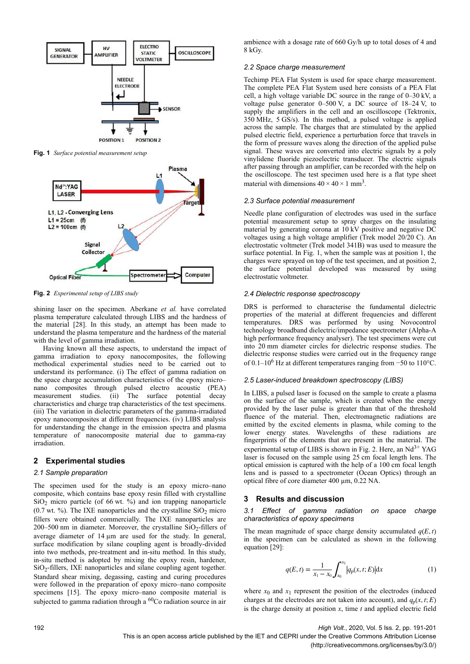

**Fig. 1** *Surface potential measurement setup*



**Fig. 2** *Experimental setup of LIBS study*

shining laser on the specimen. Aberkane *et al.* have correlated plasma temperature calculated through LIBS and the hardness of the material [28]. In this study, an attempt has been made to understand the plasma temperature and the hardness of the material with the level of gamma irradiation.

Having known all these aspects, to understand the impact of gamma irradiation to epoxy nanocomposites, the following methodical experimental studies need to be carried out to understand its performance. (i) The effect of gamma radiation on the space charge accumulation characteristics of the epoxy micro– nano composites through pulsed electro acoustic (PEA) measurement studies. (ii) The surface potential decay characteristics and charge trap characteristics of the test specimens. (iii) The variation in dielectric parameters of the gamma-irradiated epoxy nanocomposites at different frequencies. (iv) LIBS analysis for understanding the change in the emission spectra and plasma temperature of nanocomposite material due to gamma-ray irradiation.

# **2 Experimental studies**

### *2.1 Sample preparation*

The specimen used for the study is an epoxy micro–nano composite, which contains base epoxy resin filled with crystalline  $SiO<sub>2</sub>$  micro particle (of 66 wt. %) and ion trapping nanoparticle  $(0.7 \text{ wt. } %)$ . The IXE nanoparticles and the crystalline  $SiO<sub>2</sub>$  micro fillers were obtained commercially. The IXE nanoparticles are  $200-500$  nm in diameter. Moreover, the crystalline  $SiO<sub>2</sub>$ -fillers of average diameter of 14  $\mu$ m are used for the study. In general, surface modification by silane coupling agent is broadly-divided into two methods, pre-treatment and in-situ method. In this study, in-situ method is adopted by mixing the epoxy resin, hardener, SiO<sub>2</sub>-fillers, IXE nanoparticles and silane coupling agent together. Standard shear mixing, degassing, casting and curing procedures were followed in the preparation of epoxy micro–nano composite specimens [15]. The epoxy micro–nano composite material is subjected to gamma radiation through a <sup>60</sup>Co radiation source in air

ambience with a dosage rate of 660 Gy/h up to total doses of 4 and 8 kGy.

### *2.2 Space charge measurement*

Techimp PEA Flat System is used for space charge measurement. The complete PEA Flat System used here consists of a PEA Flat cell, a high voltage variable DC source in the range of 0–30 kV, a voltage pulse generator 0–500 V, a DC source of 18–24 V, to supply the amplifiers in the cell and an oscilloscope (Tektronix, 350 MHz, 5 GS/s). In this method, a pulsed voltage is applied across the sample. The charges that are stimulated by the applied pulsed electric field, experience a perturbation force that travels in the form of pressure waves along the direction of the applied pulse signal. These waves are converted into electric signals by a poly vinylidene fluoride piezoelectric transducer. The electric signals after passing through an amplifier, can be recorded with the help on the oscilloscope. The test specimen used here is a flat type sheet material with dimensions  $40 \times 40 \times 1$  mm<sup>3</sup>.

#### *2.3 Surface potential measurement*

Needle plane configuration of electrodes was used in the surface potential measurement setup to spray charges on the insulating material by generating corona at 10 kV positive and negative DC voltages using a high voltage amplifier (Trek model 20/20 C). An electrostatic voltmeter (Trek model 341B) was used to measure the surface potential. In Fig. 1, when the sample was at position 1, the charges were sprayed on top of the test specimen, and at position 2, the surface potential developed was measured by using electrostatic voltmeter.

### *2.4 Dielectric response spectroscopy*

DRS is performed to characterise the fundamental dielectric properties of the material at different frequencies and different temperatures. DRS was performed by using Novocontrol technology broadband dielectric/impedance spectrometer (Alpha-A high performance frequency analyser). The test specimens were cut into 20 mm diameter circles for dielectric response studies. The dielectric response studies were carried out in the frequency range of 0.1–10<sup>6</sup> Hz at different temperatures ranging from −50 to 110°C.

#### *2.5 Laser-induced breakdown spectroscopy (LIBS)*

In LIBS, a pulsed laser is focused on the sample to create a plasma on the surface of the sample, which is created when the energy provided by the laser pulse is greater than that of the threshold fluence of the material. Then, electromagnetic radiations are emitted by the excited elements in plasma, while coming to the lower energy states. Wavelengths of these radiations are fingerprints of the elements that are present in the material. The experimental setup of LIBS is shown in Fig. 2. Here, an  $Nd^{3+}YAG$ laser is focused on the sample using 25 cm focal length lens. The optical emission is captured with the help of a 100 cm focal length lens and is passed to a spectrometer (Ocean Optics) through an optical fibre of core diameter 400 µm, 0.22 NA.

### **3 Results and discussion**

*3.1 Effect of gamma radiation on space charge characteristics of epoxy specimens*

The mean magnitude of space charge density accumulated  $q(E, t)$ in the specimen can be calculated as shown in the following equation [29]:

$$
q(E, t) = \frac{1}{x_1 - x_0} \int_{x_0}^{x_1} |q_p(x, t; E)| dx
$$
 (1)

where  $x_0$  and  $x_1$  represent the position of the electrodes (induced charges at the electrodes are not taken into account), and  $q_p(x, t; E)$ is the charge density at position  $x$ , time  $t$  and applied electric field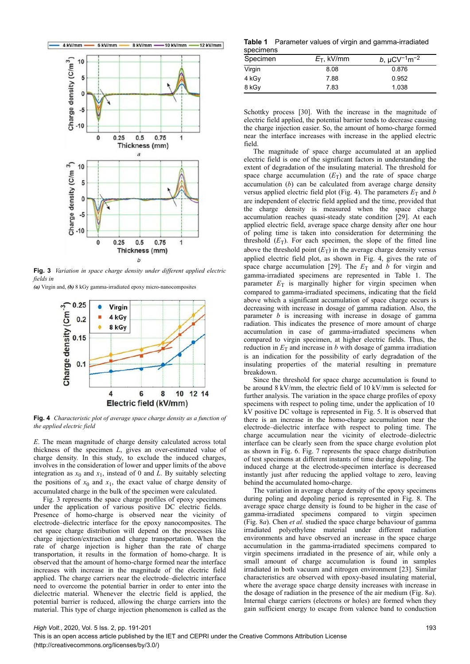

**Fig. 3** *Variation in space charge density under different applied electric fields in*

*(a)* Virgin and, *(b)* 8 kGy gamma-irradiated epoxy micro-nanocomposites



**Fig. 4** *Characteristic plot of average space charge density as a function of the applied electric field*

*E*. The mean magnitude of charge density calculated across total thickness of the specimen *L*, gives an over-estimated value of charge density. In this study, to exclude the induced charges, involves in the consideration of lower and upper limits of the above integration as  $x_0$  and  $x_1$ , instead of 0 and *L*. By suitably selecting the positions of  $x_0$  and  $x_1$ , the exact value of charge density of accumulated charge in the bulk of the specimen were calculated.

Fig. 3 represents the space charge profiles of epoxy specimens under the application of various positive DC electric fields. Presence of homo-charge is observed near the vicinity of electrode–dielectric interface for the epoxy nanocomposites. The net space charge distribution will depend on the processes like charge injection/extraction and charge transportation. When the rate of charge injection is higher than the rate of charge transportation, it results in the formation of homo-charge. It is observed that the amount of homo-charge formed near the interface increases with increase in the magnitude of the electric field applied. The charge carriers near the electrode–dielectric interface need to overcome the potential barrier in order to enter into the dielectric material. Whenever the electric field is applied, the potential barrier is reduced, allowing the charge carriers into the material. This type of charge injection phenomenon is called as the

**Table 1** Parameter values of virgin and gamma-irradiated specimens

| Specimen | $E_T$ , kV/mm | b, $\mu$ CV <sup>-1</sup> m <sup>-2</sup> |  |  |
|----------|---------------|-------------------------------------------|--|--|
| Virgin   | 8.08          | 0.876                                     |  |  |
| 4 kGy    | 7.88          | 0.952                                     |  |  |
| 8 kGy    | 7.83          | 1.038                                     |  |  |

Schottky process [30]. With the increase in the magnitude of electric field applied, the potential barrier tends to decrease causing the charge injection easier. So, the amount of homo-charge formed near the interface increases with increase in the applied electric field.

The magnitude of space charge accumulated at an applied electric field is one of the significant factors in understanding the extent of degradation of the insulating material. The threshold for space charge accumulation  $(E_T)$  and the rate of space charge accumulation (*b*) can be calculated from average charge density versus applied electric field plot (Fig. 4). The parameters  $E_T$  and *b* are independent of electric field applied and the time, provided that the charge density is measured when the space charge accumulation reaches quasi-steady state condition [29]. At each applied electric field, average space charge density after one hour of poling time is taken into consideration for determining the threshold  $(E_T)$ . For each specimen, the slope of the fitted line above the threshold point  $(E_T)$  in the average charge density versus applied electric field plot, as shown in Fig. 4, gives the rate of space charge accumulation [29]. The  $E_T$  and *b* for virgin and gamma-irradiated specimens are represented in Table 1. The parameter  $E_T$  is marginally higher for virgin specimen when compared to gamma-irradiated specimens, indicating that the field above which a significant accumulation of space charge occurs is decreasing with increase in dosage of gamma radiation. Also, the parameter *b* is increasing with increase in dosage of gamma radiation. This indicates the presence of more amount of charge accumulation in case of gamma-irradiated specimens when compared to virgin specimen, at higher electric fields. Thus, the reduction in  $E_T$  and increase in *b* with dosage of gamma irradiation is an indication for the possibility of early degradation of the insulating properties of the material resulting in premature breakdown.

Since the threshold for space charge accumulation is found to be around 8 kV/mm, the electric field of 10 kV/mm is selected for further analysis. The variation in the space charge profiles of epoxy specimens with respect to poling time, under the application of 10  kV positive DC voltage is represented in Fig. 5. It is observed that there is an increase in the homo-charge accumulation near the electrode–dielectric interface with respect to poling time. The charge accumulation near the vicinity of electrode–dielectric interface can be clearly seen from the space charge evolution plot as shown in Fig. 6. Fig. 7 represents the space charge distribution of test specimens at different instants of time during depoling. The induced charge at the electrode-specimen interface is decreased instantly just after reducing the applied voltage to zero, leaving behind the accumulated homo-charge.

The variation in average charge density of the epoxy specimens during poling and depoling period is represented in Fig. 8. The average space charge density is found to be higher in the case of gamma-irradiated specimens compared to virgin specimen (Fig. 8*a*). Chen *et al.* studied the space charge behaviour of gamma irradiated polyethylene material under different radiation environments and have observed an increase in the space charge accumulation in the gamma-irradiated specimens compared to virgin specimens irradiated in the presence of air, while only a small amount of charge accumulation is found in samples irradiated in both vacuum and nitrogen environment [23]. Similar characteristics are observed with epoxy-based insulating material, where the average space charge density increases with increase in the dosage of radiation in the presence of the air medium (Fig. 8*a*). Internal charge carriers (electrons or holes) are formed when they gain sufficient energy to escape from valence band to conduction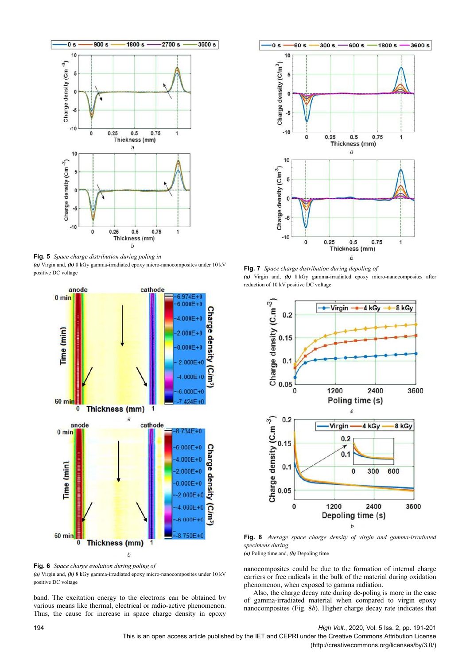

**Fig. 5** *Space charge distribution during poling in (a)* Virgin and, *(b)* 8 kGy gamma-irradiated epoxy micro-nanocomposites under 10 kV positive DC voltage



**Fig. 6** *Space charge evolution during poling of (a)* Virgin and, *(b)* 8 kGy gamma-irradiated epoxy micro-nanocomposites under 10 kV positive DC voltage

band. The excitation energy to the electrons can be obtained by various means like thermal, electrical or radio-active phenomenon. Thus, the cause for increase in space charge density in epoxy



**Fig. 7** *Space charge distribution during depoling of (a)* Virgin and, *(b)* 8 kGy gamma-irradiated epoxy micro-nanocomposites after reduction of 10 kV positive DC voltage



**Fig. 8** *Average space charge density of virgin and gamma-irradiated specimens during*

*(a)* Poling time and, *(b)* Depoling time

nanocomposites could be due to the formation of internal charge carriers or free radicals in the bulk of the material during oxidation phenomenon, when exposed to gamma radiation.

Also, the charge decay rate during de-poling is more in the case of gamma-irradiated material when compared to virgin epoxy nanocomposites (Fig. 8*b*). Higher charge decay rate indicates that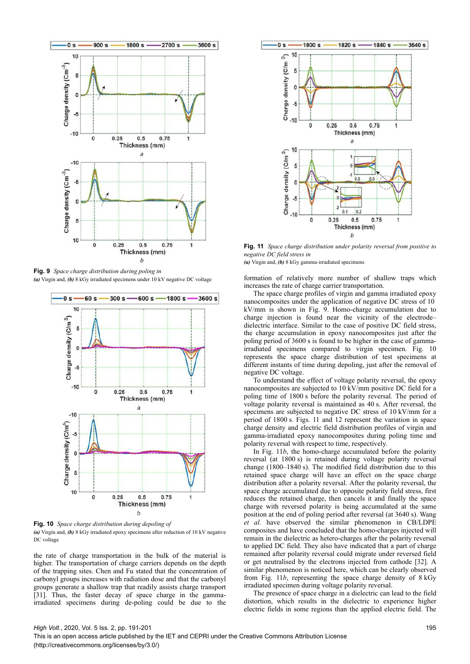

**Fig. 9** *Space charge distribution during poling in (a)* Virgin and, *(b)* 8 kGy irradiated specimens under 10 kV negative DC voltage



**Fig. 10** *Space charge distribution during depoling of (a)* Virgin and, *(b)* 8 kGy irradiated epoxy specimens after reduction of 10 kV negative DC voltage

the rate of charge transportation in the bulk of the material is higher. The transportation of charge carriers depends on the depth of the trapping sites. Chen and Fu stated that the concentration of carbonyl groups increases with radiation dose and that the carbonyl groups generate a shallow trap that readily assists charge transport [31]. Thus, the faster decay of space charge in the gammairradiated specimens during de-poling could be due to the



**Fig. 11** *Space charge distribution under polarity reversal from positive to negative DC field stress in*

*(a)* Virgin and, *(b)* 8 kGy gamma-irradiated specimens

formation of relatively more number of shallow traps which increases the rate of charge carrier transportation.

The space charge profiles of virgin and gamma irradiated epoxy nanocomposites under the application of negative DC stress of 10  kV/mm is shown in Fig. 9. Homo-charge accumulation due to charge injection is found near the vicinity of the electrode– dielectric interface. Similar to the case of positive DC field stress, the charge accumulation in epoxy nanocomposites just after the poling period of 3600 s is found to be higher in the case of gammairradiated specimens compared to virgin specimen. Fig. 10 represents the space charge distribution of test specimens at different instants of time during depoling, just after the removal of negative DC voltage.

To understand the effect of voltage polarity reversal, the epoxy nanocomposites are subjected to 10 kV/mm positive DC field for a poling time of 1800 s before the polarity reversal. The period of voltage polarity reversal is maintained as 40 s. After reversal, the specimens are subjected to negative DC stress of 10 kV/mm for a period of 1800 s. Figs. 11 and 12 represent the variation in space charge density and electric field distribution profiles of virgin and gamma-irradiated epoxy nanocomposites during poling time and polarity reversal with respect to time, respectively.

In Fig. 11*b*, the homo-charge accumulated before the polarity reversal (at 1800 s) is retained during voltage polarity reversal change (1800–1840 s). The modified field distribution due to this retained space charge will have an effect on the space charge distribution after a polarity reversal. After the polarity reversal, the space charge accumulated due to opposite polarity field stress, first reduces the retained charge, then cancels it and finally the space charge with reversed polarity is being accumulated at the same position at the end of poling period after reversal (at 3640 s). Wang *et al.* have observed the similar phenomenon in CB/LDPE composites and have concluded that the homo-charges injected will remain in the dielectric as hetero-charges after the polarity reversal to applied DC field. They also have indicated that a part of charge remained after polarity reversal could migrate under reversed field or get neutralised by the electrons injected from cathode [32]. A similar phenomenon is noticed here, which can be clearly observed from Fig. 11*b*, representing the space charge density of 8 kGy irradiated specimen during voltage polarity reversal.

The presence of space charge in a dielectric can lead to the field distortion, which results in the dielectric to experience higher electric fields in some regions than the applied electric field. The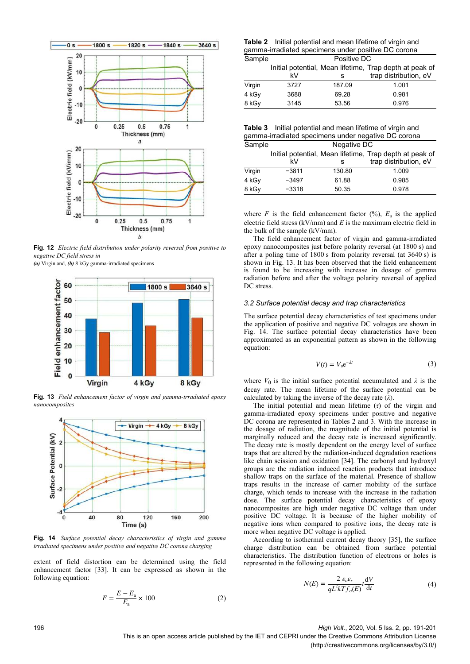

**Fig. 12** *Electric field distribution under polarity reversal from positive to negative DC field stress in*

*(a)* Virgin and, *(b)* 8 kGy gamma-irradiated specimens



**Fig. 13** *Field enhancement factor of virgin and gamma-irradiated epoxy nanocomposites*



**Fig. 14** *Surface potential decay characteristics of virgin and gamma irradiated specimens under positive and negative DC corona charging*

extent of field distortion can be determined using the field enhancement factor [33]. It can be expressed as shown in the following equation:

$$
F = \frac{E - E_{\rm a}}{E_{\rm a}} \times 100\tag{2}
$$

**Table 2** Initial potential and mean lifetime of virgin and gamma-irradiated specimens under positive DC corona

| Sample | Positive DC |        |                                                         |  |  |  |  |
|--------|-------------|--------|---------------------------------------------------------|--|--|--|--|
|        |             |        | Initial potential, Mean lifetime, Trap depth at peak of |  |  |  |  |
|        | k۷          | s      | trap distribution, eV                                   |  |  |  |  |
| Virgin | 3727        | 187.09 | 1.001                                                   |  |  |  |  |
| 4 kGy  | 3688        | 69.28  | 0.981                                                   |  |  |  |  |
| 8 kGy  | 3145        | 53.56  | 0.976                                                   |  |  |  |  |

| <b>Table 3</b> Initial potential and mean lifetime of virgin and |
|------------------------------------------------------------------|
| gamma-irradiated specimens under negative DC corona              |

| Sample | Negative DC |        |                                                                                  |  |  |  |  |  |
|--------|-------------|--------|----------------------------------------------------------------------------------|--|--|--|--|--|
|        | k٧          | s      | Initial potential, Mean lifetime, Trap depth at peak of<br>trap distribution, eV |  |  |  |  |  |
| Virgin | $-3811$     | 130.80 | 1.009                                                                            |  |  |  |  |  |
| 4 kGy  | $-3497$     | 61.88  | 0.985                                                                            |  |  |  |  |  |
| 8 kGy  | $-3318$     | 50.35  | 0.978                                                                            |  |  |  |  |  |

where  $F$  is the field enhancement factor  $(\%)$ ,  $E_a$  is the applied electric field stress (kV/mm) and *E* is the maximum electric field in the bulk of the sample (kV/mm).

The field enhancement factor of virgin and gamma-irradiated epoxy nanocomposites just before polarity reversal (at 1800 s) and after a poling time of 1800 s from polarity reversal (at 3640 s) is shown in Fig. 13. It has been observed that the field enhancement is found to be increasing with increase in dosage of gamma radiation before and after the voltage polarity reversal of applied DC stress.

#### *3.2 Surface potential decay and trap characteristics*

The surface potential decay characteristics of test specimens under the application of positive and negative DC voltages are shown in Fig. 14. The surface potential decay characteristics have been approximated as an exponential pattern as shown in the following equation:

$$
V(t) = V_0 e^{-\lambda t}
$$
 (3)

where  $V_0$  is the initial surface potential accumulated and  $\lambda$  is the decay rate. The mean lifetime of the surface potential can be calculated by taking the inverse of the decay rate  $(\lambda)$ .

The initial potential and mean lifetime (*τ*) of the virgin and gamma-irradiated epoxy specimens under positive and negative DC corona are represented in Tables 2 and 3. With the increase in the dosage of radiation, the magnitude of the initial potential is marginally reduced and the decay rate is increased significantly. The decay rate is mostly dependent on the energy level of surface traps that are altered by the radiation-induced degradation reactions like chain scission and oxidation [34]. The carbonyl and hydroxyl groups are the radiation induced reaction products that introduce shallow traps on the surface of the material. Presence of shallow traps results in the increase of carrier mobility of the surface charge, which tends to increase with the increase in the radiation dose. The surface potential decay characteristics of epoxy nanocomposites are high under negative DC voltage than under positive DC voltage. It is because of the higher mobility of negative ions when compared to positive ions, the decay rate is more when negative DC voltage is applied.

According to isothermal current decay theory [35], the surface charge distribution can be obtained from surface potential characteristics. The distribution function of electrons or holes is represented in the following equation:

$$
N(E) = \frac{2 \varepsilon_o \varepsilon_r}{q L^2 k T f_o(E)} t \frac{dV}{dt}
$$
(4)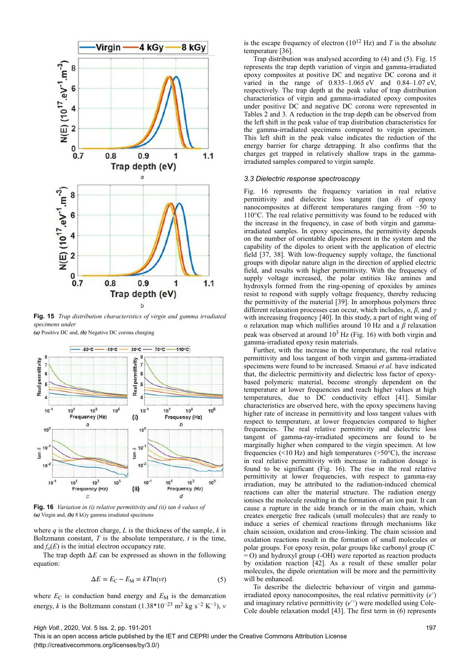

**Fig. 15** *Trap distribution characteristics of virgin and gamma irradiated specimens under*

*(a)* Positive DC and, *(b)* Negative DC corona charging



**Fig. 16** *Variation in (i) relative permittivity and (ii) tan δ values of (a)* Virgin and, *(b)* 8 kGy gamma irradiated specimens

where *q* is the electron charge, *L* is the thickness of the sample, *k* is Boltzmann constant,  $T$  is the absolute temperature,  $t$  is the time, and  $f_o(E)$  is the initial electron occupancy rate.

The trap depth  $\Delta E$  can be expressed as shown in the following equation:

$$
\Delta E = E_{\rm C} - E_{\rm M} = kT \ln(vt) \tag{5}
$$

where  $E_C$  is conduction band energy and  $E_M$  is the demarcation energy, *k* is the Boltzmann constant  $(1.38*10^{-23} \text{ m}^2 \text{ kg s}^{-2} \text{ K}^{-1})$ , *v* 

is the escape frequency of electron  $(10^{12}$  Hz) and *T* is the absolute temperature [36].

Trap distribution was analysed according to (4) and (5). Fig. 15 represents the trap depth variation of virgin and gamma-irradiated epoxy composites at positive DC and negative DC corona and it varied in the range of  $0.835-1.065$  eV and  $0.84-1.07$  eV, respectively. The trap depth at the peak value of trap distribution characteristics of virgin and gamma-irradiated epoxy composites under positive DC and negative DC corona were represented in Tables 2 and 3. A reduction in the trap depth can be observed from the left shift in the peak value of trap distribution characteristics for the gamma-irradiated specimens compared to virgin specimen. This left shift in the peak value indicates the reduction of the energy barrier for charge detrapping. It also confirms that the charges get trapped in relatively shallow traps in the gammairradiated samples compared to virgin sample.

## *3.3 Dielectric response spectroscopy*

Fig. 16 represents the frequency variation in real relative permittivity and dielectric loss tangent (tan *δ*) of epoxy nanocomposites at different temperatures ranging from −50 to 110°C. The real relative permittivity was found to be reduced with the increase in the frequency, in case of both virgin and gammairradiated samples. In epoxy specimens, the permittivity depends on the number of orientable dipoles present in the system and the capability of the dipoles to orient with the application of electric field [37, 38]. With low-frequency supply voltage, the functional groups with dipolar nature align in the direction of applied electric field, and results with higher permittivity. With the frequency of supply voltage increased, the polar entities like amines and hydroxyls formed from the ring-opening of epoxides by amines resist to respond with supply voltage frequency, thereby reducing the permittivity of the material [39]. In amorphous polymers three different relaxation processes can occur, which includes, *α*, *β*, and *γ* with increasing frequency [40]. In this study, a part of right wing of *α* relaxation map which nullifies around 10 Hz and a *β* relaxation peak was observed at around  $10<sup>3</sup>$  Hz (Fig. 16) with both virgin and gamma-irradiated epoxy resin materials.

Further, with the increase in the temperature, the real relative permittivity and loss tangent of both virgin and gamma-irradiated specimens were found to be increased. Smaoui *et al.* have indicated that, the dielectric permittivity and dielectric loss factor of epoxybased polymeric material, become strongly dependent on the temperature at lower frequencies and reach higher values at high temperatures, due to DC conductivity effect [41]. Similar characteristics are observed here, with the epoxy specimens having higher rate of increase in permittivity and loss tangent values with respect to temperature, at lower frequencies compared to higher frequencies. The real relative permittivity and dielectric loss tangent of gamma-ray-irradiated specimens are found to be marginally higher when compared to the virgin specimen. At low frequencies ( $\leq 10$  Hz) and high temperatures ( $\geq 50^{\circ}$ C), the increase in real relative permittivity with increase in radiation dosage is found to be significant (Fig. 16). The rise in the real relative permittivity at lower frequencies, with respect to gamma-ray irradiation, may be attributed to the radiation-induced chemical reactions can alter the material structure. The radiation energy ionises the molecule resulting in the formation of an ion pair. It can cause a rupture in the side branch or in the main chain, which creates energetic free radicals (small molecules) that are ready to induce a series of chemical reactions through mechanisms like chain scission, oxidation and cross-linking. The chain scission and oxidation reactions result in the formation of small molecules or polar groups. For epoxy resin, polar groups like carbonyl group (C   $=$  O) and hydroxyl group (-OH) were reported as reaction products by oxidation reaction [42]. As a result of these smaller polar molecules, the dipole orientation will be more and the permittivity will be enhanced.

To describe the dielectric behaviour of virgin and gammairradiated epoxy nanocomposites, the real relative permittivity  $(\varepsilon')$ and imaginary relative permittivity *ε*′′ were modelled using Cole-Cole double relaxation model [43]. The first term in (6) represents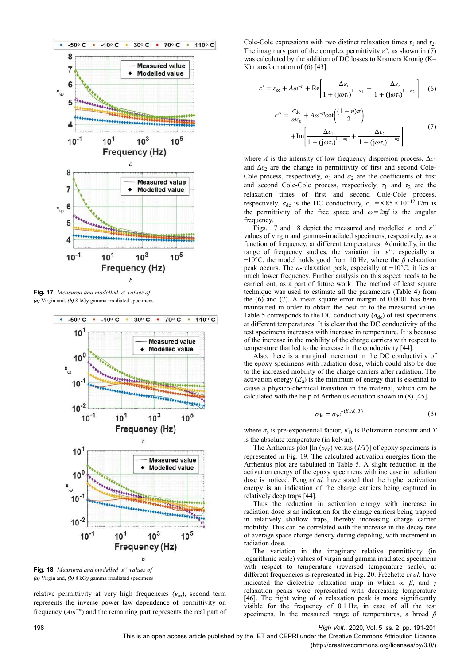

**Fig. 17** *Measured and modelled ε*′ *values of (a)* Virgin and, *(b)* 8 kGy gamma irradiated specimens



**Fig. 18** *Measured and modelled ε*′′ *values of (a)* Virgin and, *(b)* 8 kGy gamma irradiated specimens

relative permittivity at very high frequencies  $(\varepsilon_{\infty})$ , second term represents the inverse power law dependence of permittivity on frequency (*Aω*−*<sup>n</sup>* ) and the remaining part represents the real part of

Cole-Cole expressions with two distinct relaxation times  $\tau_1$  and  $\tau_2$ . The imaginary part of the complex permittivity  $\varepsilon''$ , as shown in (7) was calculated by the addition of DC losses to Kramers Kronig (K– K) transformation of (6) [43].

$$
\varepsilon' = \varepsilon_{\infty} + A\omega^{-n} + \text{Re}\left[\frac{\Delta\varepsilon_1}{1 + (j\omega\tau_1)^{1-\alpha_1}} + \frac{\Delta\varepsilon_2}{1 + (j\omega\tau_2)^{1-\alpha_2}}\right] \quad (6)
$$

$$
\varepsilon^{\prime\prime} = \frac{\sigma_{dc}}{\omega \varepsilon_0} + A\omega^{-n} \cot\left(\frac{(1-n)\pi}{2}\right)
$$

$$
+ \text{Im}\left[\frac{\Delta \varepsilon_1}{1 + (j\omega \tau_1)^{1-\alpha_1}} + \frac{\Delta \varepsilon_2}{1 + (j\omega \tau_2)^{1-\alpha_2}}\right]
$$
(7)

where *A* is the intensity of low frequency dispersion process,  $\Delta \varepsilon_1$ and Δ*ɛ*<sup>2</sup> are the change in permittivity of first and second Cole-Cole process, respectively,  $\alpha_1$  and  $\alpha_2$  are the coefficients of first and second Cole-Cole process, respectively,  $\tau_1$  and  $\tau_2$  are the relaxation times of first and second Cole-Cole process, respectively.  $\sigma_{\text{dc}}$  is the DC conductivity,  $\varepsilon_0 = 8.85 \times 10^{-12}$  F/m is the permittivity of the free space and  $\omega = 2\pi f$  is the angular frequency.

Figs. 17 and 18 depict the measured and modelled *ε*′ and *ε*′′ values of virgin and gamma-irradiated specimens, respectively, as a function of frequency, at different temperatures. Admittedly, in the range of frequency studies, the variation in *ε*′′, especially at −10°C, the model holds good from 10 Hz, where the *β* relaxation peak occurs. The *α*-relaxation peak, especially at −10°C, it lies at much lower frequency. Further analysis on this aspect needs to be carried out, as a part of future work. The method of least square technique was used to estimate all the parameters (Table 4) from the (6) and (7). A mean square error margin of 0.0001 has been maintained in order to obtain the best fit to the measured value. Table 5 corresponds to the DC conductivity  $(\sigma_{\text{dc}})$  of test specimens at different temperatures. It is clear that the DC conductivity of the test specimens increases with increase in temperature. It is because of the increase in the mobility of the charge carriers with respect to temperature that led to the increase in the conductivity [44].

Also, there is a marginal increment in the DC conductivity of the epoxy specimens with radiation dose, which could also be due to the increased mobility of the charge carriers after radiation. The activation energy  $(E_a)$  is the minimum of energy that is essential to cause a physico-chemical transition in the material, which can be calculated with the help of Arrhenius equation shown in (8) [45].

$$
\sigma_{\rm dc} = \sigma_0 e^{-(E_a/K_{\rm B}T)} \tag{8}
$$

where  $\sigma_0$  is pre-exponential factor,  $K_B$  is Boltzmann constant and *T* is the absolute temperature (in kelvin).

The Arrhenius plot [ $\ln (\sigma_{dc})$  versus ( $1/T$ )] of epoxy specimens is represented in Fig. 19. The calculated activation energies from the Arrhenius plot are tabulated in Table 5. A slight reduction in the activation energy of the epoxy specimens with increase in radiation dose is noticed. Peng *et al.* have stated that the higher activation energy is an indication of the charge carriers being captured in relatively deep traps [44].

Thus the reduction in activation energy with increase in radiation dose is an indication for the charge carriers being trapped in relatively shallow traps, thereby increasing charge carrier mobility. This can be correlated with the increase in the decay rate of average space charge density during depoling, with increment in radiation dose.

The variation in the imaginary relative permittivity (in logarithmic scale) values of virgin and gamma irradiated specimens with respect to temperature (reversed temperature scale), at different frequencies is represented in Fig. 20. Fréchette *et al.* have indicated the dielectric relaxation map in which *α*, *β*, and *γ* relaxation peaks were represented with decreasing temperature [46]. The right wing of *α* relaxation peak is more significantly visible for the frequency of 0.1 Hz, in case of all the test specimens. In the measured range of temperatures, a broad *β*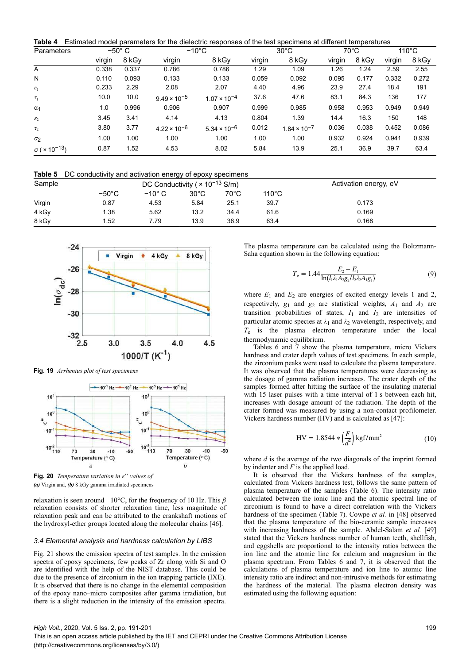**Table 4** Estimated model parameters for the dielectric responses of the test specimens at different temperatures

| Parameters                              |        | $-50^{\circ}$ C |                       | $-10^{\circ}$ C       |        | $30^{\circ}$ C        |        | $70^{\circ}$ C |        | $110^{\circ}$ C |
|-----------------------------------------|--------|-----------------|-----------------------|-----------------------|--------|-----------------------|--------|----------------|--------|-----------------|
|                                         | virgin | 8 kGy           | virgin                | 8 kGy                 | virgin | 8 kGv                 | virgin | 8 kGy          | virgin | 8 kGy           |
| A                                       | 0.338  | 0.337           | 0.786                 | 0.786                 | 1.29   | 1.09                  | 1.26   | 1.24           | 2.59   | 2.55            |
| N                                       | 0.110  | 0.093           | 0.133                 | 0.133                 | 0.059  | 0.092                 | 0.095  | 0.177          | 0.332  | 0.272           |
| $\varepsilon_1$                         | 0.233  | 2.29            | 2.08                  | 2.07                  | 4.40   | 4.96                  | 23.9   | 27.4           | 18.4   | 191             |
| $\tau_1$                                | 10.0   | 10.0            | $9.49 \times 10^{-5}$ | $1.07 \times 10^{-4}$ | 37.6   | 47.6                  | 83.1   | 84.3           | 136    | 177             |
| $\alpha_1$                              | 1.0    | 0.996           | 0.906                 | 0.907                 | 0.999  | 0.985                 | 0.958  | 0.953          | 0.949  | 0.949           |
| $\varepsilon_2$                         | 3.45   | 3.41            | 4.14                  | 4.13                  | 0.804  | 1.39                  | 14.4   | 16.3           | 150    | 148             |
| $\tau_2$                                | 3.80   | 3.77            | $4.22 \times 10^{-6}$ | $5.34 \times 10^{-6}$ | 0.012  | $1.84 \times 10^{-7}$ | 0.036  | 0.038          | 0.452  | 0.086           |
| $\alpha_2$                              | 1.00   | 1.00            | 1.00                  | 1.00                  | 1.00   | 1.00                  | 0.932  | 0.924          | 0.941  | 0.939           |
| $\sigma$ ( $\times$ 10 <sup>-13</sup> ) | 0.87   | 1.52            | 4.53                  | 8.02                  | 5.84   | 13.9                  | 25.1   | 36.9           | 39.7   | 63.4            |

**Table 5** DC conductivity and activation energy of epoxy specimens

| Sample |                 | DC Conductivity ( $\times$ 10 <sup>-13</sup> S/m) |                |                |                 | Activation energy, eV |
|--------|-----------------|---------------------------------------------------|----------------|----------------|-----------------|-----------------------|
|        | $-50^{\circ}$ C | $-10^{\circ}$ C                                   | $30^{\circ}$ C | $70^{\circ}$ C | $110^{\circ}$ C |                       |
| Virgin | 0.87            | 4.53                                              | 5.84           | 25.1           | 39.7            | 0.173                 |
| 4 kGy  | 1.38            | 5.62                                              | 13.2           | 34.4           | 61.6            | 0.169                 |
| 8 kGy  | 1.52            | 7.79                                              | 13.9           | 36.9           | 63.4            | 0.168                 |



**Fig. 19** *Arrhenius plot of test specimens*



**Fig. 20** *Temperature variation in ε*′′ *values of (a)* Virgin and, *(b)* 8 kGy gamma irradiated specimens

relaxation is seen around −10°C, for the frequency of 10 Hz. This *β* relaxation consists of shorter relaxation time, less magnitude of relaxation peak and can be attributed to the crankshaft motions of the hydroxyl-ether groups located along the molecular chains [46].

## *3.4 Elemental analysis and hardness calculation by LIBS*

Fig. 21 shows the emission spectra of test samples. In the emission spectra of epoxy specimens, few peaks of Zr along with Si and O are identified with the help of the NIST database. This could be due to the presence of zirconium in the ion trapping particle (IXE). It is observed that there is no change in the elemental composition of the epoxy nano–micro composites after gamma irradiation, but there is a slight reduction in the intensity of the emission spectra.

The plasma temperature can be calculated using the Boltzmann-Saha equation shown in the following equation:

$$
T_{\rm e} = 1.44 \frac{E_2 - E_1}{\ln(l_1 \lambda_1 A_2 g_2 / l_2 \lambda_2 A_1 g_1)}
$$
(9)

where  $E_1$  and  $E_2$  are energies of excited energy levels 1 and 2, respectively,  $g_1$  and  $g_2$  are statistical weights,  $A_1$  and  $A_2$  are transition probabilities of states,  $I_1$  and  $I_2$  are intensities of particular atomic species at  $\lambda_1$  and  $\lambda_2$  wavelength, respectively, and *T*e is the plasma electron temperature under the local thermodynamic equilibrium.

Tables 6 and 7 show the plasma temperature, micro Vickers hardness and crater depth values of test specimens. In each sample, the zirconium peaks were used to calculate the plasma temperature. It was observed that the plasma temperatures were decreasing as the dosage of gamma radiation increases. The crater depth of the samples formed after hitting the surface of the insulating material with 15 laser pulses with a time interval of 1 s between each hit, increases with dosage amount of the radiation. The depth of the crater formed was measured by using a non-contact profilometer. Vickers hardness number  $(HV)$  and is calculated as  $[47]$ :

$$
HV = 1.8544 * \left(\frac{F}{d^2}\right) kgf/mm^2
$$
 (10)

where *d* is the average of the two diagonals of the imprint formed by indenter and *F* is the applied load.

It is observed that the Vickers hardness of the samples, calculated from Vickers hardness test, follows the same pattern of plasma temperature of the samples (Table 6). The intensity ratio calculated between the ionic line and the atomic spectral line of zirconium is found to have a direct correlation with the Vickers hardness of the specimen (Table 7). Cowpe *et al.* in [48] observed that the plasma temperature of the bio-ceramic sample increases with increasing hardness of the sample. Abdel-Salam *et al.* [49] stated that the Vickers hardness number of human teeth, shellfish, and eggshells are proportional to the intensity ratios between the ion line and the atomic line for calcium and magnesium in the plasma spectrum. From Tables 6 and 7, it is observed that the calculations of plasma temperature and ion line to atomic line intensity ratio are indirect and non-intrusive methods for estimating the hardness of the material. The plasma electron density was estimated using the following equation: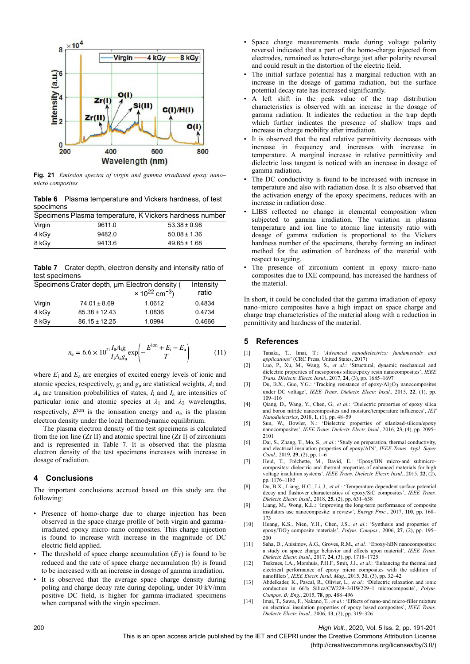

**Fig. 21** *Emission spectra of virgin and gamma irradiated epoxy nano– micro composites*

**Table 6** Plasma temperature and Vickers hardness, of test specimens

|        |        | Specimens Plasma temperature, K Vickers hardness number |
|--------|--------|---------------------------------------------------------|
| Virgin | 9611.0 | $53.38 \pm 0.98$                                        |
| 4 kGy  | 9482.0 | $50.08 \pm 1.36$                                        |
| 8 kGv  | 9413.6 | $49.65 \pm 1.68$                                        |

**Table 7** Crater depth, electron density and intensity ratio of test specimens

| Specimens Crater depth, um Electron density (<br>Intensity |                   |                                |        |  |  |  |
|------------------------------------------------------------|-------------------|--------------------------------|--------|--|--|--|
|                                                            |                   | $× 10^{22}$ cm <sup>-3</sup> ) | ratio  |  |  |  |
| Virgin                                                     | $74.01 \pm 8.69$  | 1.0612                         | 0.4834 |  |  |  |
| 4 kGy                                                      | $85.38 \pm 12.43$ | 1.0836                         | 0.4734 |  |  |  |
| 8 kGy                                                      | $86.15 \pm 12.25$ | 1.0994                         | 0.4666 |  |  |  |

$$
n_{\rm e} = 6.6 \times 10^{21} \frac{I_{\rm a} A_{\rm i} g_{\rm i}}{I_{\rm i} A_{\rm a} g_{\rm a}} \exp\left(-\frac{E^{\rm ion} + E_{\rm i} - E_{\rm a}}{T}\right) \tag{11}
$$

where  $E_i$  and  $E_a$  are energies of excited energy levels of ionic and atomic species, respectively, *g*<sup>i</sup> and *g*<sup>a</sup> are statistical weights, *A*<sup>i</sup> and  $A_a$  are transition probabilities of states,  $I_i$  and  $I_a$  are intensities of particular ionic and atomic species at  $\lambda_1$  and  $\lambda_2$  wavelengths, respectively,  $E^{ion}$  is the ionisation energy and  $n_e$  is the plasma electron density under the local thermodynamic equilibrium.

The plasma electron density of the test specimens is calculated from the ion line  $(Zr \Pi)$  and atomic spectral line  $(Zr \Pi)$  of zirconium and is represented in Table 7. It is observed that the plasma electron density of the test specimens increases with increase in dosage of radiation.

# **4 Conclusions**

The important conclusions accrued based on this study are the following:

- Presence of homo-charge due to charge injection has been observed in the space charge profile of both virgin and gammairradiated epoxy micro–nano composites. This charge injection is found to increase with increase in the magnitude of DC electric field applied.
- The threshold of space charge accumulation  $(E_T)$  is found to be reduced and the rate of space charge accumulation (b) is found to be increased with an increase in dosage of gamma irradiation.
- It is observed that the average space charge density during poling and charge decay rate during depoling, under 10 kV/mm positive DC field, is higher for gamma-irradiated specimens when compared with the virgin specimen.
- Space charge measurements made during voltage polarity reversal indicated that a part of the homo-charge injected from electrodes, remained as hetero-charge just after polarity reversal and could result in the distortion of the electric field.
- The initial surface potential has a marginal reduction with an increase in the dosage of gamma radiation, but the surface potential decay rate has increased significantly.
- A left shift in the peak value of the trap distribution characteristics is observed with an increase in the dosage of gamma radiation. It indicates the reduction in the trap depth which further indicates the presence of shallow traps and increase in charge mobility after irradiation.
- It is observed that the real relative permittivity decreases with increase in frequency and increases with increase in temperature. A marginal increase in relative permittivity and dielectric loss tangent is noticed with an increase in dosage of gamma radiation.
- The DC conductivity is found to be increased with increase in temperature and also with radiation dose. It is also observed that the activation energy of the epoxy specimens, reduces with an increase in radiation dose.
- LIBS reflected no change in elemental composition when subjected to gamma irradiation. The variation in plasma temperature and ion line to atomic line intensity ratio with dosage of gamma radiation is proportional to the Vickers hardness number of the specimens, thereby forming an indirect method for the estimation of hardness of the material with respect to ageing.
- The presence of zirconium content in epoxy micro–nano composites due to IXE compound, has increased the hardness of the material.

In short, it could be concluded that the gamma irradiation of epoxy nano–micro composites have a high impact on space charge and charge trap characteristics of the material along with a reduction in permittivity and hardness of the material.

# **5 References**

- [1] Tanaka, T., Imai, T.: '*Advanced nanodielectrics: fundamentals and applications*' (CRC Press, United States, 2017)
- [2] Luo, P., Xu, M., Wang, S.*, et al.*: 'Structural, dynamic mechanical and dielectric properties of mesoporous silica/epoxy resin nanocomposites', *IEEE Trans. Dielectr. Electr. Insul.*, 2017, **24**, (3), pp. 1685–1697
- [3] Du, B.X., Guo, Y.G.: 'Tracking resistance of epoxy/Al2O3 nanocomposites under DC voltage', *IEEE Trans. Dielectr. Electr. Insul.*, 2015, **22**, (1), pp. 109–116
- [4] Qiang, D., Wang, Y., Chen, G.*, et al.*: 'Dielectric properties of epoxy silica and boron nitride nanocomposites and moisture/temperature influences', *IET Nanodielectrics*, 2018, **1**, (1), pp. 48–59
- [5] Sun, W., Bowler, N.: 'Dielectric properties of silanized-silicon/epoxy nanocomposites', *IEEE Trans. Dielectr. Electr. Insul.*, 2016, **23**, (4), pp. 2095– 2101
- [6] Dai, S., Zhang, T., Mo, S.*, et al.*: 'Study on preparation, thermal conductivity, and electrical insulation properties of epoxy/AlN', *IEEE Trans. Appl. Super Cond.*, 2019, **29**, (2), pp. 1–6
- [7] Heid, T., Fréchette, M., David, E.: 'Epoxy/BN micro-and submicrocomposites: dielectric and thermal properties of enhanced materials for high voltage insulation systems', *IEEE Trans. Dielectr. Electr. Insul.*, 2015, **22**, (2), pp. 1176–1185
- [8] Du, B.X., Liang, H.C., Li, J.*, et al.*: 'Temperature dependent surface potential decay and flashover characteristics of epoxy/SiC composites', *IEEE Trans. Dielectr. Electr. Insul.*, 2018, **25**, (2), pp. 631–638
- [9] Liang, M., Wong, K.L.: 'Improving the long-term performance of composite insulators use nanocomposite: a review', *Energy Proc.*, 2017, **110**, pp. 168– 173
- [10] Huang, K.S., Nien, Y.H., Chen, J.S.*, et al.*: 'Synthesis and properties of epoxy/TiO2 composite materials', *Polym. Compos.*, 2006, **27**, (2), pp. 195– 200
- [11] Saha, D., Anisimov, A.G., Groves, R.M.*, et al.*: 'Epoxy-hBN nanocomposites: a study on space charge behavior and effects upon material', *IEEE Trans. Dielectr. Electr. Insul.*, 2017, **24**, (3), pp. 1718–1725
- [12] Tsekmes, I.A., Morshuis, P.H.F., Smit, J.J.*, et al.*: 'Enhancing the thermal and electrical performance of epoxy micro composites with the addition of nanofillers', *IEEE Electr. Insul. Mag.*, 2015, **31**, (3), pp. 32–42
- [13] Abdelkader, K., Pascal, R., Olivier, L.*, et al.*: 'Dielectric relaxation and ionic conduction in 66% Silica/CW229–3/HW229–1 microcomposite', *Polym. Compos. B: Eng.*, 2015, **78**, pp. 488–496
- [14] Imai, T., Sawa, F., Nakano, T.*, et al.*: 'Effects of nano-and micro-filler mixture on electrical insulation properties of epoxy based composites', *IEEE Trans. Dielectr. Electr. Insul.*, 2006, **13**, (2), pp. 319–326